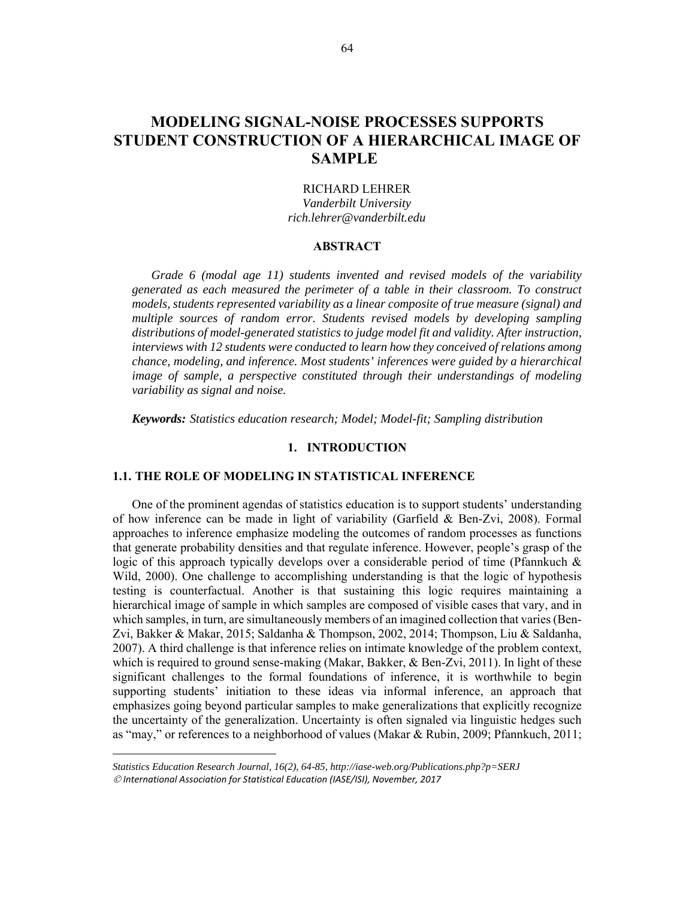# **MODELING SIGNAL-NOISE PROCESSES SUPPORTS STUDENT CONSTRUCTION OF A HIERARCHICAL IMAGE OF SAMPLE**

## RICHARD LEHRER

*Vanderbilt University rich.lehrer@vanderbilt.edu* 

## **ABSTRACT**

*Grade 6 (modal age 11) students invented and revised models of the variability generated as each measured the perimeter of a table in their classroom. To construct models, students represented variability as a linear composite of true measure (signal) and multiple sources of random error. Students revised models by developing sampling distributions of model-generated statistics to judge model fit and validity. After instruction, interviews with 12 students were conducted to learn how they conceived of relations among chance, modeling, and inference. Most students' inferences were guided by a hierarchical image of sample, a perspective constituted through their understandings of modeling variability as signal and noise.* 

*Keywords: Statistics education research; Model; Model-fit; Sampling distribution* 

#### **1. INTRODUCTION**

#### **1.1. THE ROLE OF MODELING IN STATISTICAL INFERENCE**

One of the prominent agendas of statistics education is to support students' understanding of how inference can be made in light of variability (Garfield & Ben-Zvi, 2008). Formal approaches to inference emphasize modeling the outcomes of random processes as functions that generate probability densities and that regulate inference. However, people's grasp of the logic of this approach typically develops over a considerable period of time (Pfannkuch & Wild, 2000). One challenge to accomplishing understanding is that the logic of hypothesis testing is counterfactual. Another is that sustaining this logic requires maintaining a hierarchical image of sample in which samples are composed of visible cases that vary, and in which samples, in turn, are simultaneously members of an imagined collection that varies (Ben-Zvi, Bakker & Makar, 2015; Saldanha & Thompson, 2002, 2014; Thompson, Liu & Saldanha, 2007). A third challenge is that inference relies on intimate knowledge of the problem context, which is required to ground sense-making (Makar, Bakker, & Ben-Zvi, 2011). In light of these significant challenges to the formal foundations of inference, it is worthwhile to begin supporting students' initiation to these ideas via informal inference, an approach that emphasizes going beyond particular samples to make generalizations that explicitly recognize the uncertainty of the generalization. Uncertainty is often signaled via linguistic hedges such as "may," or references to a neighborhood of values (Makar & Rubin, 2009; Pfannkuch, 2011;

*Statistics Education Research Journal, 16(2), 64-85, http://iase-web.org/Publications.php?p=SERJ International Association for Statistical Education (IASE/ISI), November, 2017*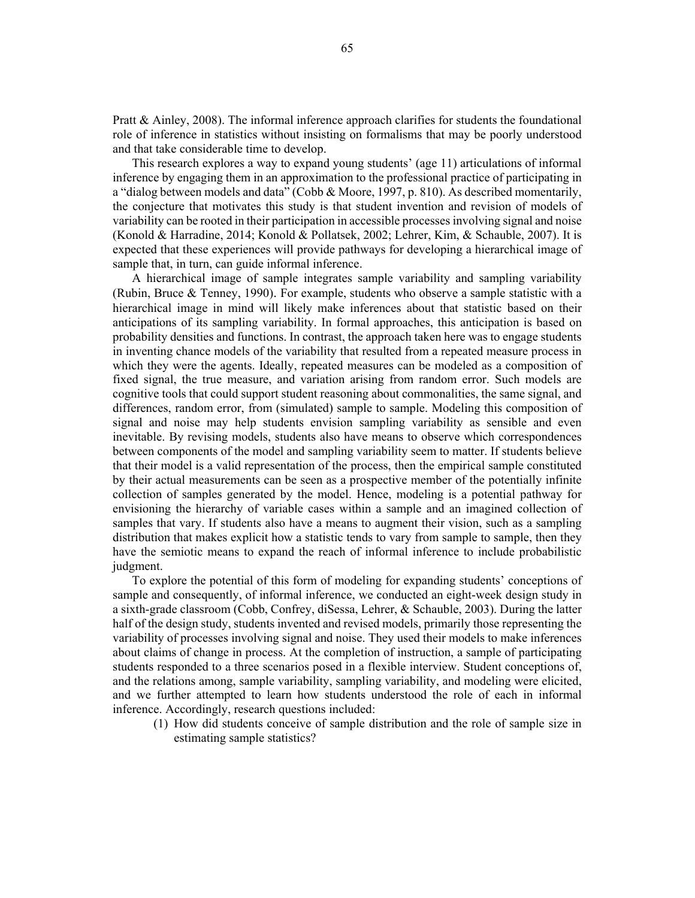Pratt & Ainley, 2008). The informal inference approach clarifies for students the foundational role of inference in statistics without insisting on formalisms that may be poorly understood and that take considerable time to develop.

This research explores a way to expand young students' (age 11) articulations of informal inference by engaging them in an approximation to the professional practice of participating in a "dialog between models and data" (Cobb & Moore, 1997, p. 810). As described momentarily, the conjecture that motivates this study is that student invention and revision of models of variability can be rooted in their participation in accessible processes involving signal and noise (Konold & Harradine, 2014; Konold & Pollatsek, 2002; Lehrer, Kim, & Schauble, 2007). It is expected that these experiences will provide pathways for developing a hierarchical image of sample that, in turn, can guide informal inference.

A hierarchical image of sample integrates sample variability and sampling variability (Rubin, Bruce & Tenney, 1990). For example, students who observe a sample statistic with a hierarchical image in mind will likely make inferences about that statistic based on their anticipations of its sampling variability. In formal approaches, this anticipation is based on probability densities and functions. In contrast, the approach taken here was to engage students in inventing chance models of the variability that resulted from a repeated measure process in which they were the agents. Ideally, repeated measures can be modeled as a composition of fixed signal, the true measure, and variation arising from random error. Such models are cognitive tools that could support student reasoning about commonalities, the same signal, and differences, random error, from (simulated) sample to sample. Modeling this composition of signal and noise may help students envision sampling variability as sensible and even inevitable. By revising models, students also have means to observe which correspondences between components of the model and sampling variability seem to matter. If students believe that their model is a valid representation of the process, then the empirical sample constituted by their actual measurements can be seen as a prospective member of the potentially infinite collection of samples generated by the model. Hence, modeling is a potential pathway for envisioning the hierarchy of variable cases within a sample and an imagined collection of samples that vary. If students also have a means to augment their vision, such as a sampling distribution that makes explicit how a statistic tends to vary from sample to sample, then they have the semiotic means to expand the reach of informal inference to include probabilistic judgment.

To explore the potential of this form of modeling for expanding students' conceptions of sample and consequently, of informal inference, we conducted an eight-week design study in a sixth-grade classroom (Cobb, Confrey, diSessa, Lehrer, & Schauble, 2003). During the latter half of the design study, students invented and revised models, primarily those representing the variability of processes involving signal and noise. They used their models to make inferences about claims of change in process. At the completion of instruction, a sample of participating students responded to a three scenarios posed in a flexible interview. Student conceptions of, and the relations among, sample variability, sampling variability, and modeling were elicited, and we further attempted to learn how students understood the role of each in informal inference. Accordingly, research questions included:

(1) How did students conceive of sample distribution and the role of sample size in estimating sample statistics?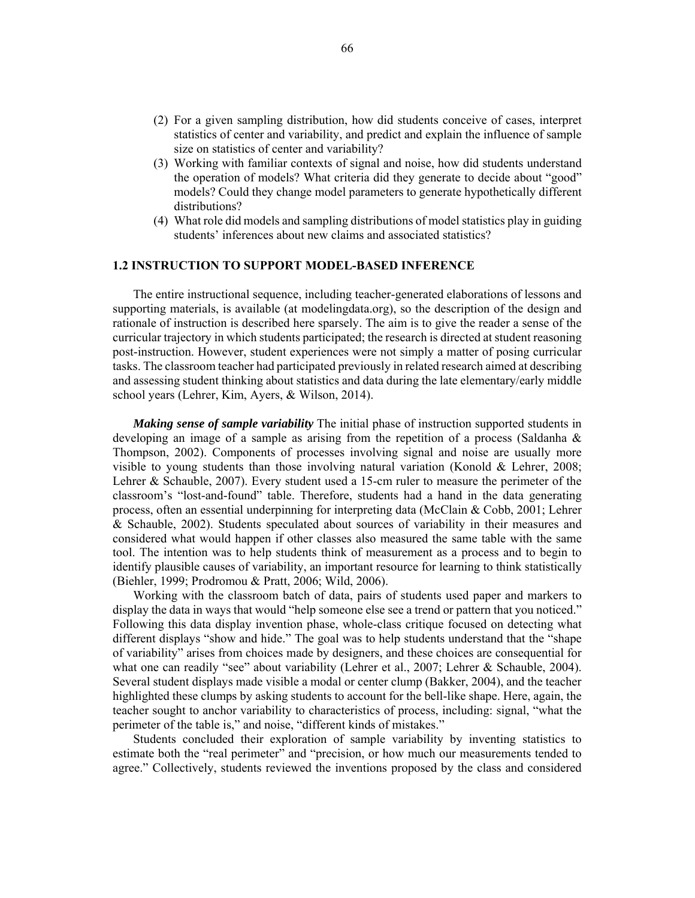- (2) For a given sampling distribution, how did students conceive of cases, interpret statistics of center and variability, and predict and explain the influence of sample size on statistics of center and variability?
- (3) Working with familiar contexts of signal and noise, how did students understand the operation of models? What criteria did they generate to decide about "good" models? Could they change model parameters to generate hypothetically different distributions?
- (4) What role did models and sampling distributions of model statistics play in guiding students' inferences about new claims and associated statistics?

## **1.2 INSTRUCTION TO SUPPORT MODEL-BASED INFERENCE**

The entire instructional sequence, including teacher-generated elaborations of lessons and supporting materials, is available (at modelingdata.org), so the description of the design and rationale of instruction is described here sparsely. The aim is to give the reader a sense of the curricular trajectory in which students participated; the research is directed at student reasoning post-instruction. However, student experiences were not simply a matter of posing curricular tasks. The classroom teacher had participated previously in related research aimed at describing and assessing student thinking about statistics and data during the late elementary/early middle school years (Lehrer, Kim, Ayers, & Wilson, 2014).

*Making sense of sample variability* The initial phase of instruction supported students in developing an image of a sample as arising from the repetition of a process (Saldanha  $\&$ Thompson, 2002). Components of processes involving signal and noise are usually more visible to young students than those involving natural variation (Konold & Lehrer, 2008; Lehrer & Schauble, 2007). Every student used a 15-cm ruler to measure the perimeter of the classroom's "lost-and-found" table. Therefore, students had a hand in the data generating process, often an essential underpinning for interpreting data (McClain & Cobb, 2001; Lehrer & Schauble, 2002). Students speculated about sources of variability in their measures and considered what would happen if other classes also measured the same table with the same tool. The intention was to help students think of measurement as a process and to begin to identify plausible causes of variability, an important resource for learning to think statistically (Biehler, 1999; Prodromou & Pratt, 2006; Wild, 2006).

Working with the classroom batch of data, pairs of students used paper and markers to display the data in ways that would "help someone else see a trend or pattern that you noticed." Following this data display invention phase, whole-class critique focused on detecting what different displays "show and hide." The goal was to help students understand that the "shape of variability" arises from choices made by designers, and these choices are consequential for what one can readily "see" about variability (Lehrer et al., 2007; Lehrer & Schauble, 2004). Several student displays made visible a modal or center clump (Bakker, 2004), and the teacher highlighted these clumps by asking students to account for the bell-like shape. Here, again, the teacher sought to anchor variability to characteristics of process, including: signal, "what the perimeter of the table is," and noise, "different kinds of mistakes."

Students concluded their exploration of sample variability by inventing statistics to estimate both the "real perimeter" and "precision, or how much our measurements tended to agree." Collectively, students reviewed the inventions proposed by the class and considered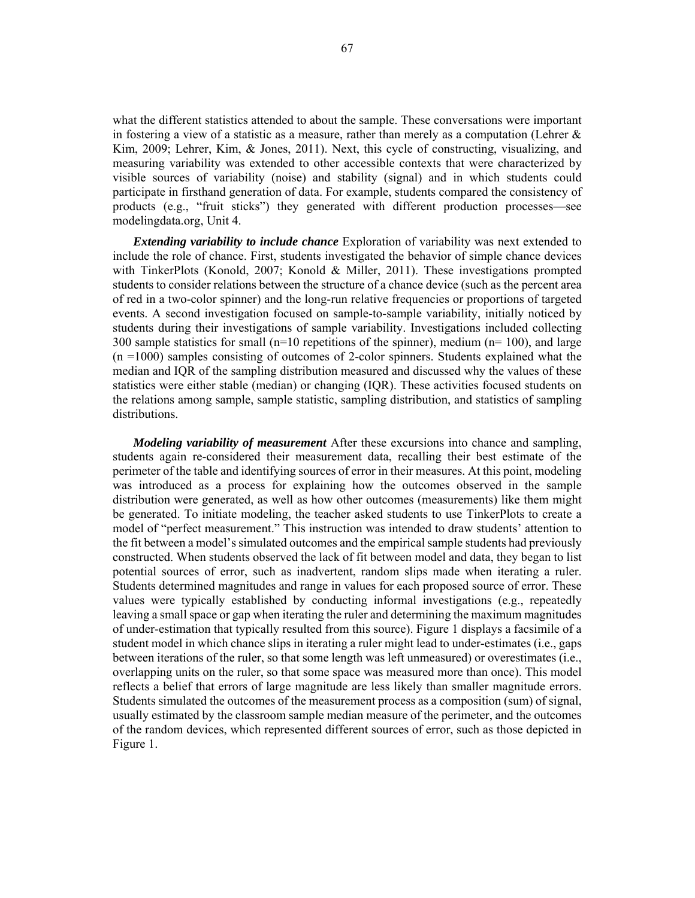what the different statistics attended to about the sample. These conversations were important in fostering a view of a statistic as a measure, rather than merely as a computation (Lehrer  $\&$ Kim, 2009; Lehrer, Kim, & Jones, 2011). Next, this cycle of constructing, visualizing, and measuring variability was extended to other accessible contexts that were characterized by visible sources of variability (noise) and stability (signal) and in which students could participate in firsthand generation of data. For example, students compared the consistency of products (e.g., "fruit sticks") they generated with different production processes—see modelingdata.org, Unit 4.

*Extending variability to include chance* Exploration of variability was next extended to include the role of chance. First, students investigated the behavior of simple chance devices with TinkerPlots (Konold, 2007; Konold & Miller, 2011). These investigations prompted students to consider relations between the structure of a chance device (such as the percent area of red in a two-color spinner) and the long-run relative frequencies or proportions of targeted events. A second investigation focused on sample-to-sample variability, initially noticed by students during their investigations of sample variability. Investigations included collecting 300 sample statistics for small ( $n=10$  repetitions of the spinner), medium ( $n=100$ ), and large  $(n = 1000)$  samples consisting of outcomes of 2-color spinners. Students explained what the median and IQR of the sampling distribution measured and discussed why the values of these statistics were either stable (median) or changing (IQR). These activities focused students on the relations among sample, sample statistic, sampling distribution, and statistics of sampling distributions.

*Modeling variability of measurement* After these excursions into chance and sampling, students again re-considered their measurement data, recalling their best estimate of the perimeter of the table and identifying sources of error in their measures. At this point, modeling was introduced as a process for explaining how the outcomes observed in the sample distribution were generated, as well as how other outcomes (measurements) like them might be generated. To initiate modeling, the teacher asked students to use TinkerPlots to create a model of "perfect measurement." This instruction was intended to draw students' attention to the fit between a model's simulated outcomes and the empirical sample students had previously constructed. When students observed the lack of fit between model and data, they began to list potential sources of error, such as inadvertent, random slips made when iterating a ruler. Students determined magnitudes and range in values for each proposed source of error. These values were typically established by conducting informal investigations (e.g., repeatedly leaving a small space or gap when iterating the ruler and determining the maximum magnitudes of under-estimation that typically resulted from this source). Figure 1 displays a facsimile of a student model in which chance slips in iterating a ruler might lead to under-estimates (i.e., gaps between iterations of the ruler, so that some length was left unmeasured) or overestimates (i.e., overlapping units on the ruler, so that some space was measured more than once). This model reflects a belief that errors of large magnitude are less likely than smaller magnitude errors. Students simulated the outcomes of the measurement process as a composition (sum) of signal, usually estimated by the classroom sample median measure of the perimeter, and the outcomes of the random devices, which represented different sources of error, such as those depicted in Figure 1.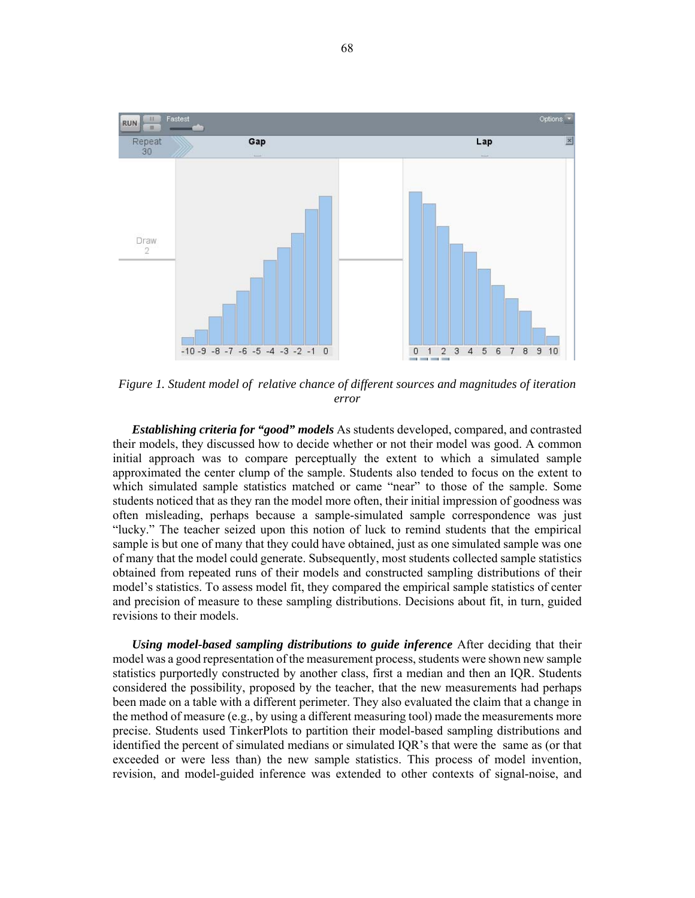

*Figure 1. Student model of relative chance of different sources and magnitudes of iteration error* 

*Establishing criteria for "good" models* As students developed, compared, and contrasted their models, they discussed how to decide whether or not their model was good. A common initial approach was to compare perceptually the extent to which a simulated sample approximated the center clump of the sample. Students also tended to focus on the extent to which simulated sample statistics matched or came "near" to those of the sample. Some students noticed that as they ran the model more often, their initial impression of goodness was often misleading, perhaps because a sample-simulated sample correspondence was just "lucky." The teacher seized upon this notion of luck to remind students that the empirical sample is but one of many that they could have obtained, just as one simulated sample was one of many that the model could generate. Subsequently, most students collected sample statistics obtained from repeated runs of their models and constructed sampling distributions of their model's statistics. To assess model fit, they compared the empirical sample statistics of center and precision of measure to these sampling distributions. Decisions about fit, in turn, guided revisions to their models.

*Using model-based sampling distributions to guide inference* After deciding that their model was a good representation of the measurement process, students were shown new sample statistics purportedly constructed by another class, first a median and then an IQR. Students considered the possibility, proposed by the teacher, that the new measurements had perhaps been made on a table with a different perimeter. They also evaluated the claim that a change in the method of measure (e.g., by using a different measuring tool) made the measurements more precise. Students used TinkerPlots to partition their model-based sampling distributions and identified the percent of simulated medians or simulated IQR's that were the same as (or that exceeded or were less than) the new sample statistics. This process of model invention, revision, and model-guided inference was extended to other contexts of signal-noise, and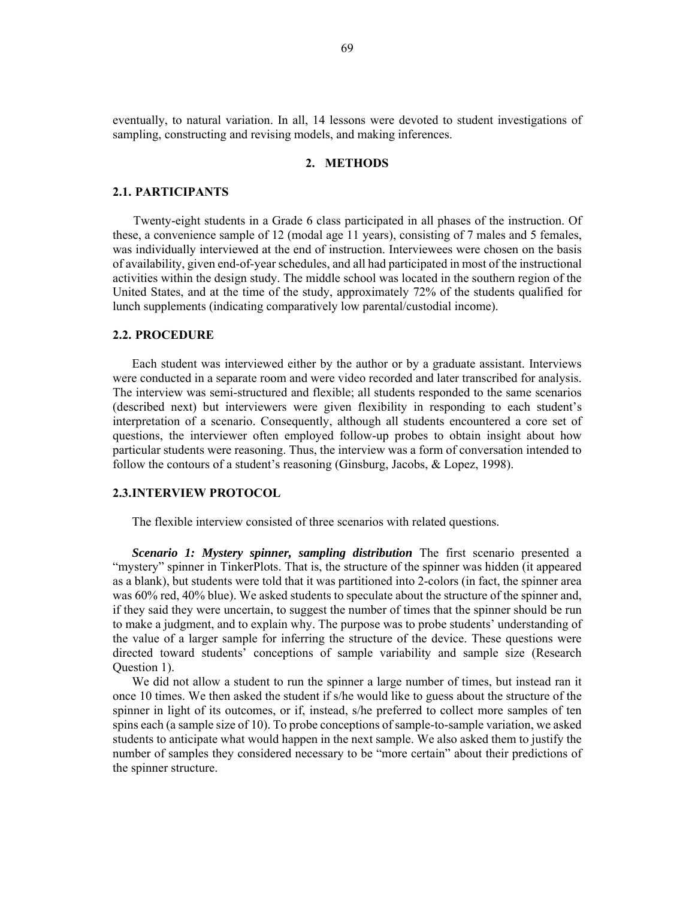eventually, to natural variation. In all, 14 lessons were devoted to student investigations of sampling, constructing and revising models, and making inferences.

## **2. METHODS**

#### **2.1. PARTICIPANTS**

Twenty-eight students in a Grade 6 class participated in all phases of the instruction. Of these, a convenience sample of 12 (modal age 11 years), consisting of 7 males and 5 females, was individually interviewed at the end of instruction. Interviewees were chosen on the basis of availability, given end-of-year schedules, and all had participated in most of the instructional activities within the design study. The middle school was located in the southern region of the United States, and at the time of the study, approximately 72% of the students qualified for lunch supplements (indicating comparatively low parental/custodial income).

#### **2.2. PROCEDURE**

Each student was interviewed either by the author or by a graduate assistant. Interviews were conducted in a separate room and were video recorded and later transcribed for analysis. The interview was semi-structured and flexible; all students responded to the same scenarios (described next) but interviewers were given flexibility in responding to each student's interpretation of a scenario. Consequently, although all students encountered a core set of questions, the interviewer often employed follow-up probes to obtain insight about how particular students were reasoning. Thus, the interview was a form of conversation intended to follow the contours of a student's reasoning (Ginsburg, Jacobs, & Lopez, 1998).

## **2.3.INTERVIEW PROTOCOL**

The flexible interview consisted of three scenarios with related questions.

*Scenario 1: Mystery spinner, sampling distribution* The first scenario presented a "mystery" spinner in TinkerPlots. That is, the structure of the spinner was hidden (it appeared as a blank), but students were told that it was partitioned into 2-colors (in fact, the spinner area was 60% red, 40% blue). We asked students to speculate about the structure of the spinner and, if they said they were uncertain, to suggest the number of times that the spinner should be run to make a judgment, and to explain why. The purpose was to probe students' understanding of the value of a larger sample for inferring the structure of the device. These questions were directed toward students' conceptions of sample variability and sample size (Research Question 1).

We did not allow a student to run the spinner a large number of times, but instead ran it once 10 times. We then asked the student if s/he would like to guess about the structure of the spinner in light of its outcomes, or if, instead, s/he preferred to collect more samples of ten spins each (a sample size of 10). To probe conceptions of sample-to-sample variation, we asked students to anticipate what would happen in the next sample. We also asked them to justify the number of samples they considered necessary to be "more certain" about their predictions of the spinner structure.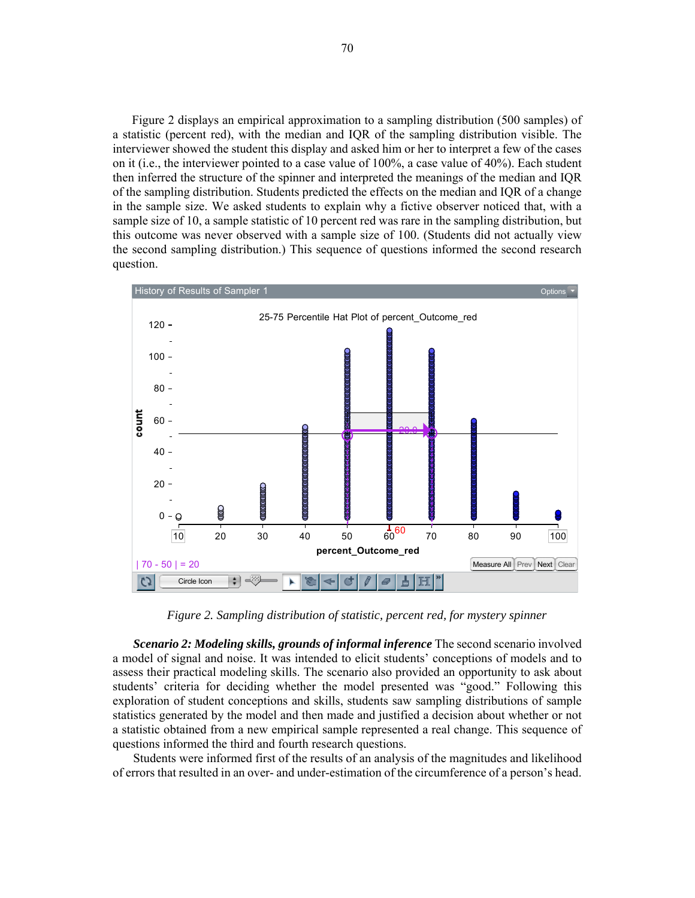Figure 2 displays an empirical approximation to a sampling distribution (500 samples) of a statistic (percent red), with the median and IQR of the sampling distribution visible. The interviewer showed the student this display and asked him or her to interpret a few of the cases on it (i.e., the interviewer pointed to a case value of 100%, a case value of 40%). Each student then inferred the structure of the spinner and interpreted the meanings of the median and IQR of the sampling distribution. Students predicted the effects on the median and IQR of a change in the sample size. We asked students to explain why a fictive observer noticed that, with a sample size of 10, a sample statistic of 10 percent red was rare in the sampling distribution, but this outcome was never observed with a sample size of 100. (Students did not actually view the second sampling distribution.) This sequence of questions informed the second research question.



*Figure 2. Sampling distribution of statistic, percent red, for mystery spinner* 

*Scenario 2: Modeling skills, grounds of informal inference* The second scenario involved a model of signal and noise. It was intended to elicit students' conceptions of models and to assess their practical modeling skills. The scenario also provided an opportunity to ask about students' criteria for deciding whether the model presented was "good." Following this exploration of student conceptions and skills, students saw sampling distributions of sample statistics generated by the model and then made and justified a decision about whether or not a statistic obtained from a new empirical sample represented a real change. This sequence of questions informed the third and fourth research questions.

Students were informed first of the results of an analysis of the magnitudes and likelihood of errors that resulted in an over- and under-estimation of the circumference of a person's head.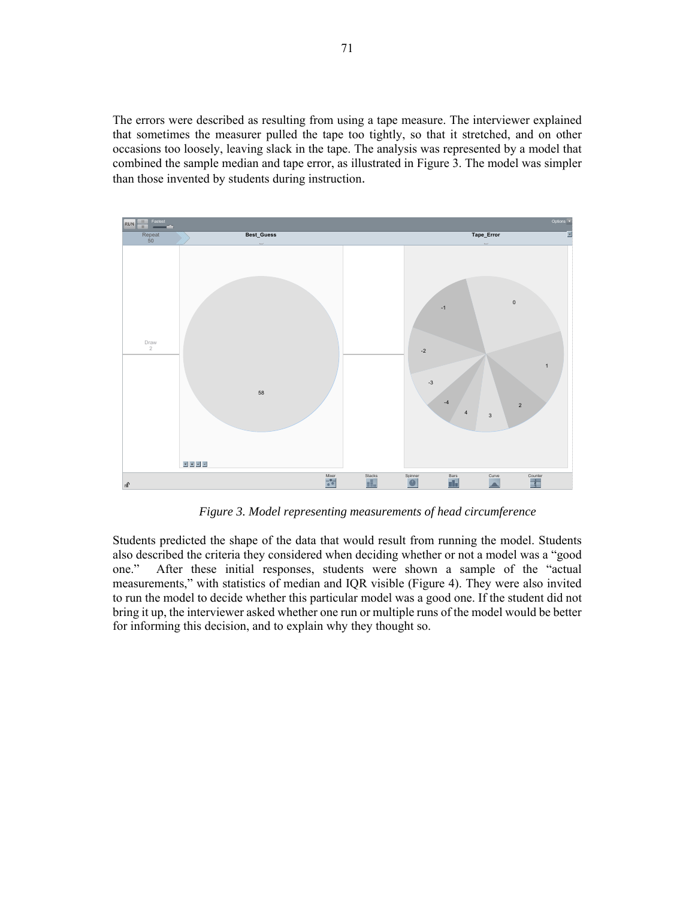The errors were described as resulting from using a tape measure. The interviewer explained that sometimes the measurer pulled the tape too tightly, so that it stretched, and on other occasions too loosely, leaving slack in the tape. The analysis was represented by a model that combined the sample median and tape error, as illustrated in Figure 3. The model was simpler than those invented by students during instruction.



*Figure 3. Model representing measurements of head circumference*

Students predicted the shape of the data that would result from running the model. Students also described the criteria they considered when deciding whether or not a model was a "good one." After these initial responses, students were shown a sample of the "actual measurements," with statistics of median and IQR visible (Figure 4). They were also invited to run the model to decide whether this particular model was a good one. If the student did not bring it up, the interviewer asked whether one run or multiple runs of the model would be better for informing this decision, and to explain why they thought so.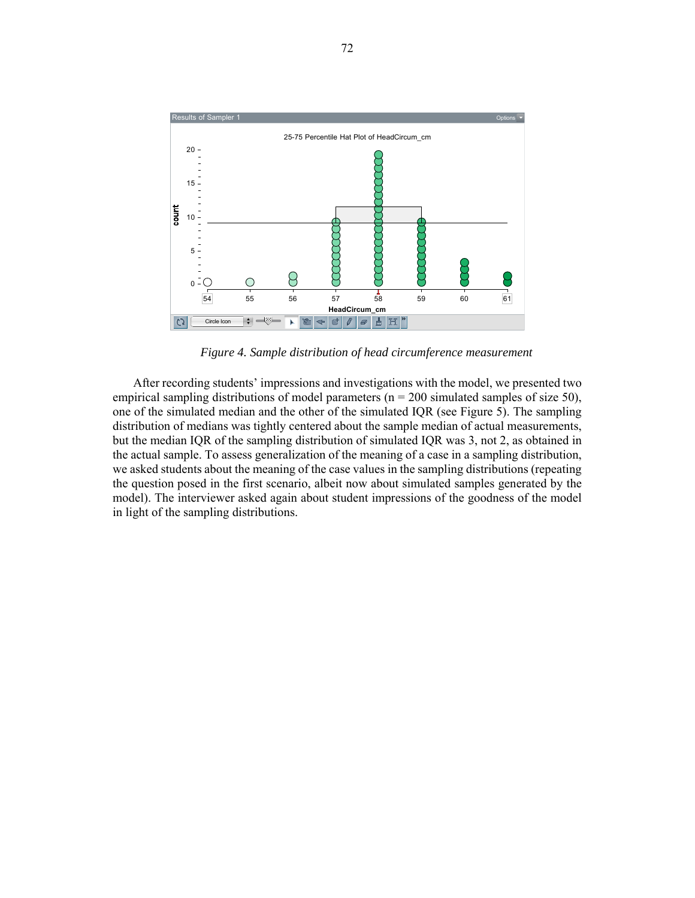

*Figure 4. Sample distribution of head circumference measurement*

After recording students' impressions and investigations with the model, we presented two empirical sampling distributions of model parameters ( $n = 200$  simulated samples of size 50), one of the simulated median and the other of the simulated IQR (see Figure 5). The sampling distribution of medians was tightly centered about the sample median of actual measurements, but the median IQR of the sampling distribution of simulated IQR was 3, not 2, as obtained in the actual sample. To assess generalization of the meaning of a case in a sampling distribution, we asked students about the meaning of the case values in the sampling distributions (repeating the question posed in the first scenario, albeit now about simulated samples generated by the model). The interviewer asked again about student impressions of the goodness of the model in light of the sampling distributions.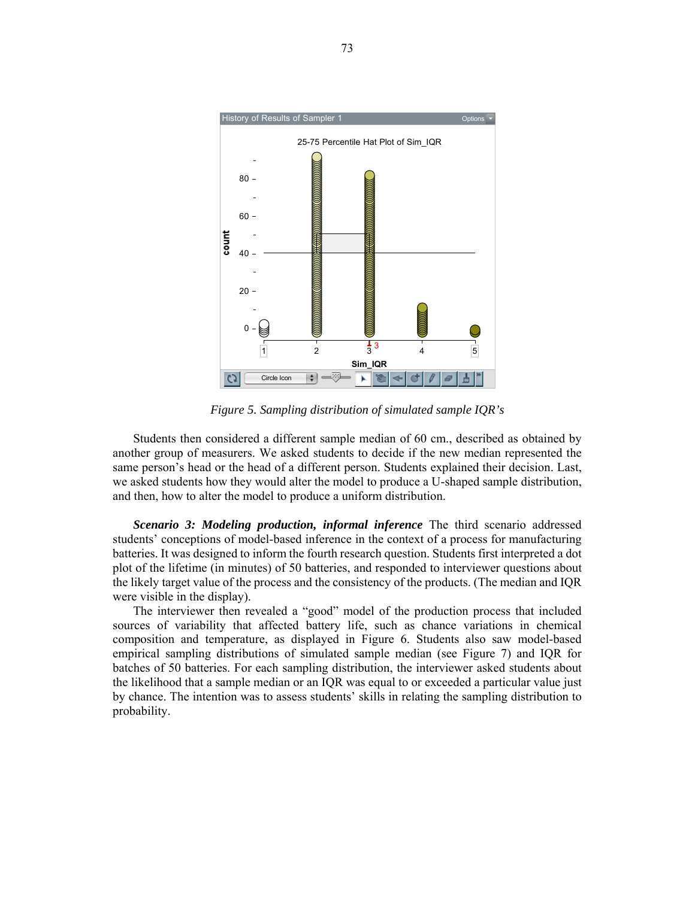

*Figure 5. Sampling distribution of simulated sample IQR's* 

Students then considered a different sample median of 60 cm., described as obtained by another group of measurers. We asked students to decide if the new median represented the same person's head or the head of a different person. Students explained their decision. Last, we asked students how they would alter the model to produce a U-shaped sample distribution, and then, how to alter the model to produce a uniform distribution.

*Scenario 3: Modeling production, informal inference* The third scenario addressed students' conceptions of model-based inference in the context of a process for manufacturing batteries. It was designed to inform the fourth research question. Students first interpreted a dot plot of the lifetime (in minutes) of 50 batteries, and responded to interviewer questions about the likely target value of the process and the consistency of the products. (The median and IQR were visible in the display).

The interviewer then revealed a "good" model of the production process that included sources of variability that affected battery life, such as chance variations in chemical composition and temperature, as displayed in Figure 6. Students also saw model-based empirical sampling distributions of simulated sample median (see Figure 7) and IQR for batches of 50 batteries. For each sampling distribution, the interviewer asked students about the likelihood that a sample median or an IQR was equal to or exceeded a particular value just by chance. The intention was to assess students' skills in relating the sampling distribution to probability.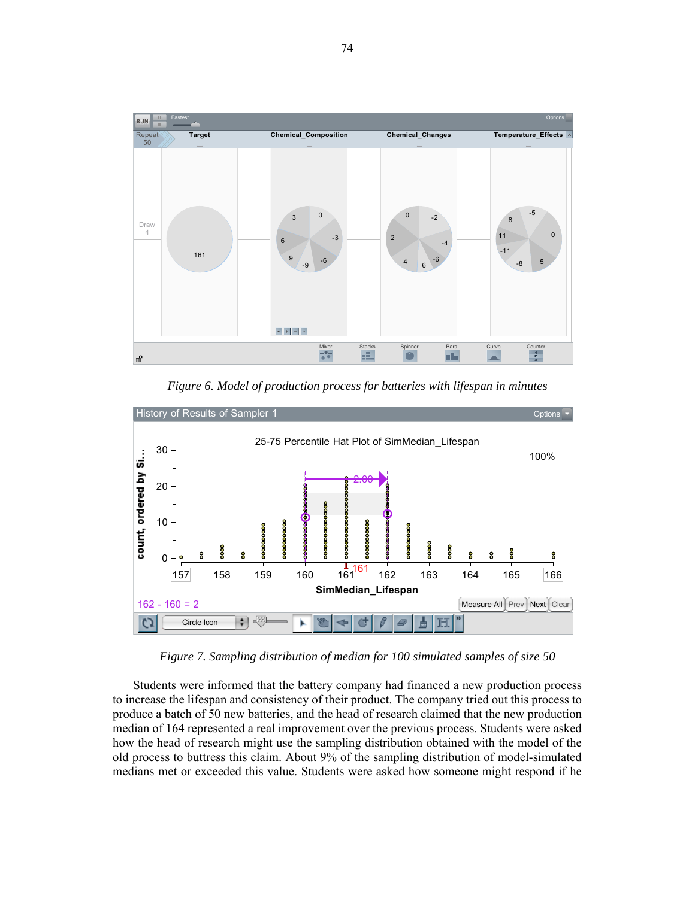

*Figure 6. Model of production process for batteries with lifespan in minutes* 



*Figure 7. Sampling distribution of median for 100 simulated samples of size 50* 

Students were informed that the battery company had financed a new production process to increase the lifespan and consistency of their product. The company tried out this process to produce a batch of 50 new batteries, and the head of research claimed that the new production median of 164 represented a real improvement over the previous process. Students were asked how the head of research might use the sampling distribution obtained with the model of the old process to buttress this claim. About 9% of the sampling distribution of model-simulated medians met or exceeded this value. Students were asked how someone might respond if he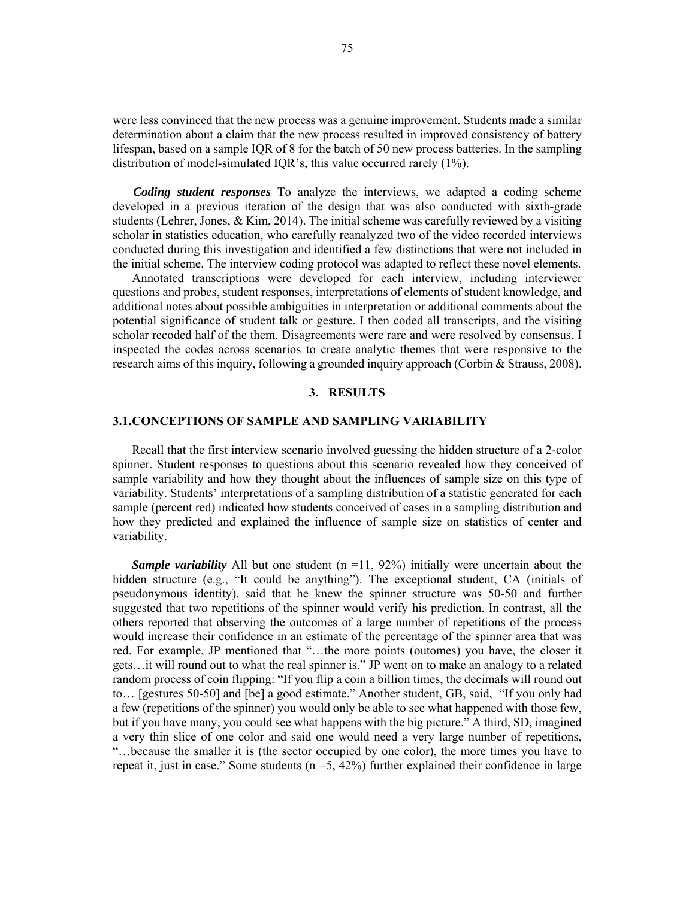were less convinced that the new process was a genuine improvement. Students made a similar determination about a claim that the new process resulted in improved consistency of battery lifespan, based on a sample IQR of 8 for the batch of 50 new process batteries. In the sampling distribution of model-simulated IQR's, this value occurred rarely (1%).

*Coding student responses* To analyze the interviews, we adapted a coding scheme developed in a previous iteration of the design that was also conducted with sixth-grade students (Lehrer, Jones,  $&$  Kim, 2014). The initial scheme was carefully reviewed by a visiting scholar in statistics education, who carefully reanalyzed two of the video recorded interviews conducted during this investigation and identified a few distinctions that were not included in the initial scheme. The interview coding protocol was adapted to reflect these novel elements.

Annotated transcriptions were developed for each interview, including interviewer questions and probes, student responses, interpretations of elements of student knowledge, and additional notes about possible ambiguities in interpretation or additional comments about the potential significance of student talk or gesture. I then coded all transcripts, and the visiting scholar recoded half of the them. Disagreements were rare and were resolved by consensus. I inspected the codes across scenarios to create analytic themes that were responsive to the research aims of this inquiry, following a grounded inquiry approach (Corbin & Strauss, 2008).

## **3. RESULTS**

#### **3.1.CONCEPTIONS OF SAMPLE AND SAMPLING VARIABILITY**

Recall that the first interview scenario involved guessing the hidden structure of a 2-color spinner. Student responses to questions about this scenario revealed how they conceived of sample variability and how they thought about the influences of sample size on this type of variability. Students' interpretations of a sampling distribution of a statistic generated for each sample (percent red) indicated how students conceived of cases in a sampling distribution and how they predicted and explained the influence of sample size on statistics of center and variability.

*Sample variability* All but one student  $(n = 11, 92%)$  initially were uncertain about the hidden structure (e.g., "It could be anything"). The exceptional student, CA (initials of pseudonymous identity), said that he knew the spinner structure was 50-50 and further suggested that two repetitions of the spinner would verify his prediction. In contrast, all the others reported that observing the outcomes of a large number of repetitions of the process would increase their confidence in an estimate of the percentage of the spinner area that was red. For example, JP mentioned that "…the more points (outomes) you have, the closer it gets…it will round out to what the real spinner is." JP went on to make an analogy to a related random process of coin flipping: "If you flip a coin a billion times, the decimals will round out to… [gestures 50-50] and [be] a good estimate." Another student, GB, said, "If you only had a few (repetitions of the spinner) you would only be able to see what happened with those few, but if you have many, you could see what happens with the big picture." A third, SD, imagined a very thin slice of one color and said one would need a very large number of repetitions, "…because the smaller it is (the sector occupied by one color), the more times you have to repeat it, just in case." Some students  $(n = 5, 42%)$  further explained their confidence in large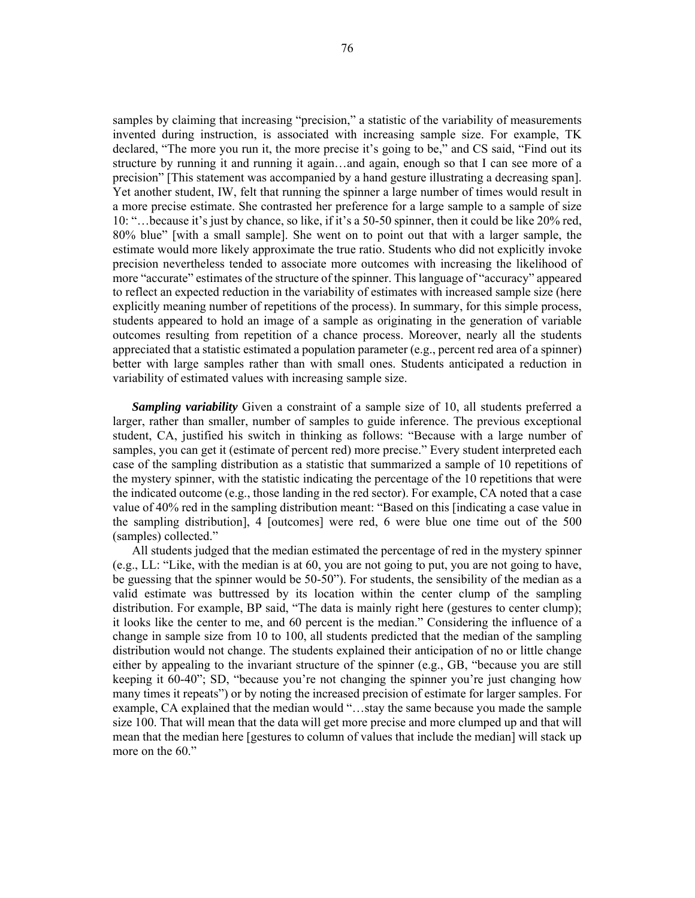samples by claiming that increasing "precision," a statistic of the variability of measurements invented during instruction, is associated with increasing sample size. For example, TK declared, "The more you run it, the more precise it's going to be," and CS said, "Find out its structure by running it and running it again…and again, enough so that I can see more of a precision" [This statement was accompanied by a hand gesture illustrating a decreasing span]. Yet another student, IW, felt that running the spinner a large number of times would result in a more precise estimate. She contrasted her preference for a large sample to a sample of size 10: "…because it's just by chance, so like, if it's a 50-50 spinner, then it could be like 20% red, 80% blue" [with a small sample]. She went on to point out that with a larger sample, the estimate would more likely approximate the true ratio. Students who did not explicitly invoke precision nevertheless tended to associate more outcomes with increasing the likelihood of more "accurate" estimates of the structure of the spinner. This language of "accuracy" appeared to reflect an expected reduction in the variability of estimates with increased sample size (here explicitly meaning number of repetitions of the process). In summary, for this simple process, students appeared to hold an image of a sample as originating in the generation of variable outcomes resulting from repetition of a chance process. Moreover, nearly all the students appreciated that a statistic estimated a population parameter (e.g., percent red area of a spinner) better with large samples rather than with small ones. Students anticipated a reduction in variability of estimated values with increasing sample size.

*Sampling variability* Given a constraint of a sample size of 10, all students preferred a larger, rather than smaller, number of samples to guide inference. The previous exceptional student, CA, justified his switch in thinking as follows: "Because with a large number of samples, you can get it (estimate of percent red) more precise." Every student interpreted each case of the sampling distribution as a statistic that summarized a sample of 10 repetitions of the mystery spinner, with the statistic indicating the percentage of the 10 repetitions that were the indicated outcome (e.g., those landing in the red sector). For example, CA noted that a case value of 40% red in the sampling distribution meant: "Based on this [indicating a case value in the sampling distribution], 4 [outcomes] were red, 6 were blue one time out of the 500 (samples) collected."

All students judged that the median estimated the percentage of red in the mystery spinner (e.g., LL: "Like, with the median is at 60, you are not going to put, you are not going to have, be guessing that the spinner would be 50-50"). For students, the sensibility of the median as a valid estimate was buttressed by its location within the center clump of the sampling distribution. For example, BP said, "The data is mainly right here (gestures to center clump); it looks like the center to me, and 60 percent is the median." Considering the influence of a change in sample size from 10 to 100, all students predicted that the median of the sampling distribution would not change. The students explained their anticipation of no or little change either by appealing to the invariant structure of the spinner (e.g., GB, "because you are still keeping it 60-40"; SD, "because you're not changing the spinner you're just changing how many times it repeats") or by noting the increased precision of estimate for larger samples. For example, CA explained that the median would "…stay the same because you made the sample size 100. That will mean that the data will get more precise and more clumped up and that will mean that the median here [gestures to column of values that include the median] will stack up more on the 60."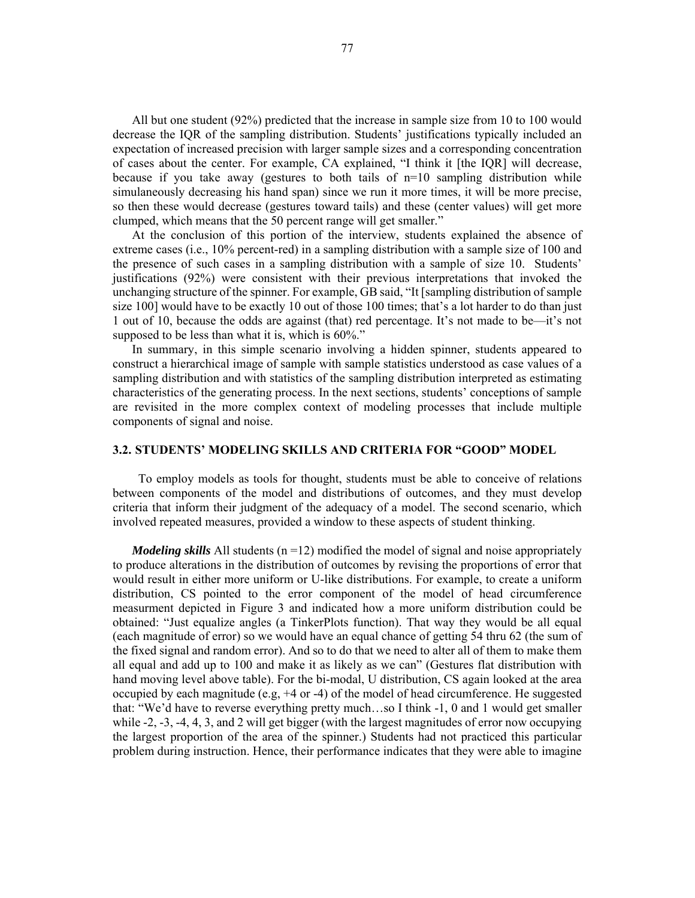All but one student (92%) predicted that the increase in sample size from 10 to 100 would decrease the IQR of the sampling distribution. Students' justifications typically included an expectation of increased precision with larger sample sizes and a corresponding concentration of cases about the center. For example, CA explained, "I think it [the IQR] will decrease, because if you take away (gestures to both tails of  $n=10$  sampling distribution while simulaneously decreasing his hand span) since we run it more times, it will be more precise, so then these would decrease (gestures toward tails) and these (center values) will get more clumped, which means that the 50 percent range will get smaller."

At the conclusion of this portion of the interview, students explained the absence of extreme cases (i.e., 10% percent-red) in a sampling distribution with a sample size of 100 and the presence of such cases in a sampling distribution with a sample of size 10. Students' justifications (92%) were consistent with their previous interpretations that invoked the unchanging structure of the spinner. For example, GB said, "It [sampling distribution of sample size 100] would have to be exactly 10 out of those 100 times; that's a lot harder to do than just 1 out of 10, because the odds are against (that) red percentage. It's not made to be—it's not supposed to be less than what it is, which is  $60\%$ ."

In summary, in this simple scenario involving a hidden spinner, students appeared to construct a hierarchical image of sample with sample statistics understood as case values of a sampling distribution and with statistics of the sampling distribution interpreted as estimating characteristics of the generating process. In the next sections, students' conceptions of sample are revisited in the more complex context of modeling processes that include multiple components of signal and noise.

## **3.2. STUDENTS' MODELING SKILLS AND CRITERIA FOR "GOOD" MODEL**

To employ models as tools for thought, students must be able to conceive of relations between components of the model and distributions of outcomes, and they must develop criteria that inform their judgment of the adequacy of a model. The second scenario, which involved repeated measures, provided a window to these aspects of student thinking.

*Modeling skills* All students  $(n = 12)$  modified the model of signal and noise appropriately to produce alterations in the distribution of outcomes by revising the proportions of error that would result in either more uniform or U-like distributions. For example, to create a uniform distribution, CS pointed to the error component of the model of head circumference measurment depicted in Figure 3 and indicated how a more uniform distribution could be obtained: "Just equalize angles (a TinkerPlots function). That way they would be all equal (each magnitude of error) so we would have an equal chance of getting 54 thru 62 (the sum of the fixed signal and random error). And so to do that we need to alter all of them to make them all equal and add up to 100 and make it as likely as we can" (Gestures flat distribution with hand moving level above table). For the bi-modal, U distribution, CS again looked at the area occupied by each magnitude (e.g,  $+4$  or  $-4$ ) of the model of head circumference. He suggested that: "We'd have to reverse everything pretty much…so I think -1, 0 and 1 would get smaller while -2, -3, -4, 4, 3, and 2 will get bigger (with the largest magnitudes of error now occupying the largest proportion of the area of the spinner.) Students had not practiced this particular problem during instruction. Hence, their performance indicates that they were able to imagine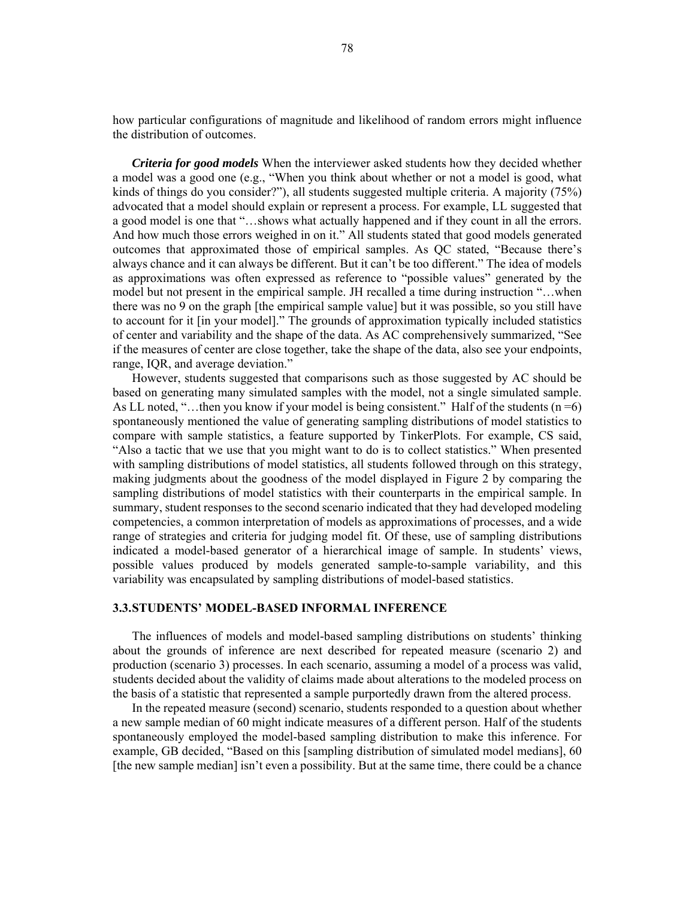how particular configurations of magnitude and likelihood of random errors might influence the distribution of outcomes.

*Criteria for good models* When the interviewer asked students how they decided whether a model was a good one (e.g., "When you think about whether or not a model is good, what kinds of things do you consider?"), all students suggested multiple criteria. A majority (75%) advocated that a model should explain or represent a process. For example, LL suggested that a good model is one that "…shows what actually happened and if they count in all the errors. And how much those errors weighed in on it." All students stated that good models generated outcomes that approximated those of empirical samples. As QC stated, "Because there's always chance and it can always be different. But it can't be too different." The idea of models as approximations was often expressed as reference to "possible values" generated by the model but not present in the empirical sample. JH recalled a time during instruction "…when there was no 9 on the graph [the empirical sample value] but it was possible, so you still have to account for it [in your model]." The grounds of approximation typically included statistics of center and variability and the shape of the data. As AC comprehensively summarized, "See if the measures of center are close together, take the shape of the data, also see your endpoints, range, IQR, and average deviation."

However, students suggested that comparisons such as those suggested by AC should be based on generating many simulated samples with the model, not a single simulated sample. As LL noted, "...then you know if your model is being consistent." Half of the students  $(n=6)$ spontaneously mentioned the value of generating sampling distributions of model statistics to compare with sample statistics, a feature supported by TinkerPlots. For example, CS said, "Also a tactic that we use that you might want to do is to collect statistics." When presented with sampling distributions of model statistics, all students followed through on this strategy, making judgments about the goodness of the model displayed in Figure 2 by comparing the sampling distributions of model statistics with their counterparts in the empirical sample. In summary, student responses to the second scenario indicated that they had developed modeling competencies, a common interpretation of models as approximations of processes, and a wide range of strategies and criteria for judging model fit. Of these, use of sampling distributions indicated a model-based generator of a hierarchical image of sample. In students' views, possible values produced by models generated sample-to-sample variability, and this variability was encapsulated by sampling distributions of model-based statistics.

## **3.3.STUDENTS' MODEL-BASED INFORMAL INFERENCE**

The influences of models and model-based sampling distributions on students' thinking about the grounds of inference are next described for repeated measure (scenario 2) and production (scenario 3) processes. In each scenario, assuming a model of a process was valid, students decided about the validity of claims made about alterations to the modeled process on the basis of a statistic that represented a sample purportedly drawn from the altered process.

In the repeated measure (second) scenario, students responded to a question about whether a new sample median of 60 might indicate measures of a different person. Half of the students spontaneously employed the model-based sampling distribution to make this inference. For example, GB decided, "Based on this [sampling distribution of simulated model medians], 60 [the new sample median] isn't even a possibility. But at the same time, there could be a chance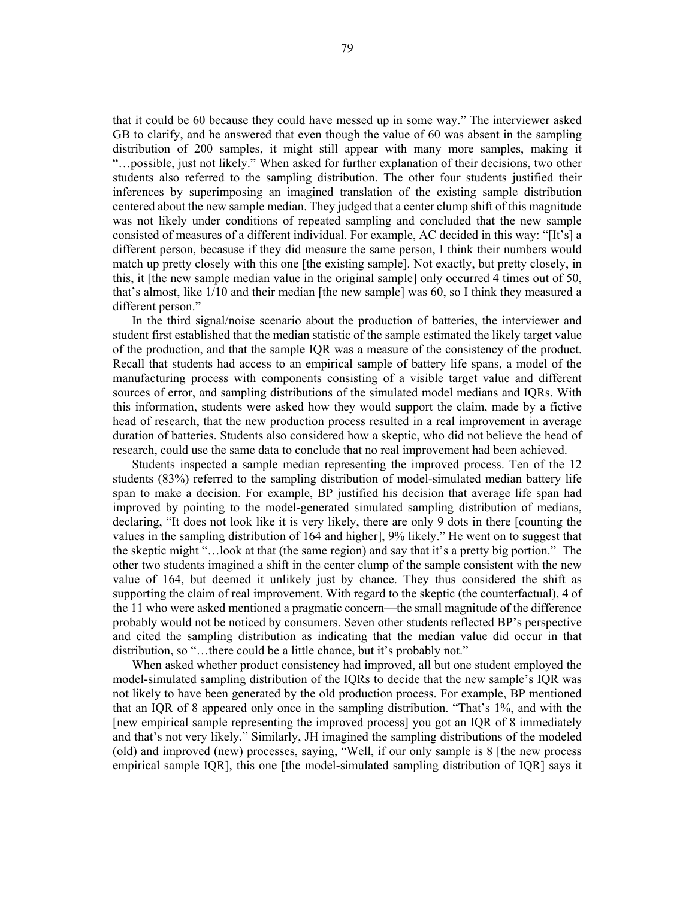that it could be 60 because they could have messed up in some way." The interviewer asked GB to clarify, and he answered that even though the value of 60 was absent in the sampling distribution of 200 samples, it might still appear with many more samples, making it "…possible, just not likely." When asked for further explanation of their decisions, two other students also referred to the sampling distribution. The other four students justified their inferences by superimposing an imagined translation of the existing sample distribution centered about the new sample median. They judged that a center clump shift of this magnitude was not likely under conditions of repeated sampling and concluded that the new sample consisted of measures of a different individual. For example, AC decided in this way: "[It's] a different person, becasuse if they did measure the same person, I think their numbers would match up pretty closely with this one [the existing sample]. Not exactly, but pretty closely, in this, it [the new sample median value in the original sample] only occurred 4 times out of 50, that's almost, like 1/10 and their median [the new sample] was 60, so I think they measured a different person."

In the third signal/noise scenario about the production of batteries, the interviewer and student first established that the median statistic of the sample estimated the likely target value of the production, and that the sample IQR was a measure of the consistency of the product. Recall that students had access to an empirical sample of battery life spans, a model of the manufacturing process with components consisting of a visible target value and different sources of error, and sampling distributions of the simulated model medians and IQRs. With this information, students were asked how they would support the claim, made by a fictive head of research, that the new production process resulted in a real improvement in average duration of batteries. Students also considered how a skeptic, who did not believe the head of research, could use the same data to conclude that no real improvement had been achieved.

Students inspected a sample median representing the improved process. Ten of the 12 students (83%) referred to the sampling distribution of model-simulated median battery life span to make a decision. For example, BP justified his decision that average life span had improved by pointing to the model-generated simulated sampling distribution of medians, declaring, "It does not look like it is very likely, there are only 9 dots in there [counting the values in the sampling distribution of 164 and higher], 9% likely." He went on to suggest that the skeptic might "…look at that (the same region) and say that it's a pretty big portion." The other two students imagined a shift in the center clump of the sample consistent with the new value of 164, but deemed it unlikely just by chance. They thus considered the shift as supporting the claim of real improvement. With regard to the skeptic (the counterfactual), 4 of the 11 who were asked mentioned a pragmatic concern—the small magnitude of the difference probably would not be noticed by consumers. Seven other students reflected BP's perspective and cited the sampling distribution as indicating that the median value did occur in that distribution, so "…there could be a little chance, but it's probably not."

When asked whether product consistency had improved, all but one student employed the model-simulated sampling distribution of the IQRs to decide that the new sample's IQR was not likely to have been generated by the old production process. For example, BP mentioned that an IQR of 8 appeared only once in the sampling distribution. "That's 1%, and with the [new empirical sample representing the improved process] you got an IQR of 8 immediately and that's not very likely." Similarly, JH imagined the sampling distributions of the modeled (old) and improved (new) processes, saying, "Well, if our only sample is 8 [the new process empirical sample IQR], this one [the model-simulated sampling distribution of IQR] says it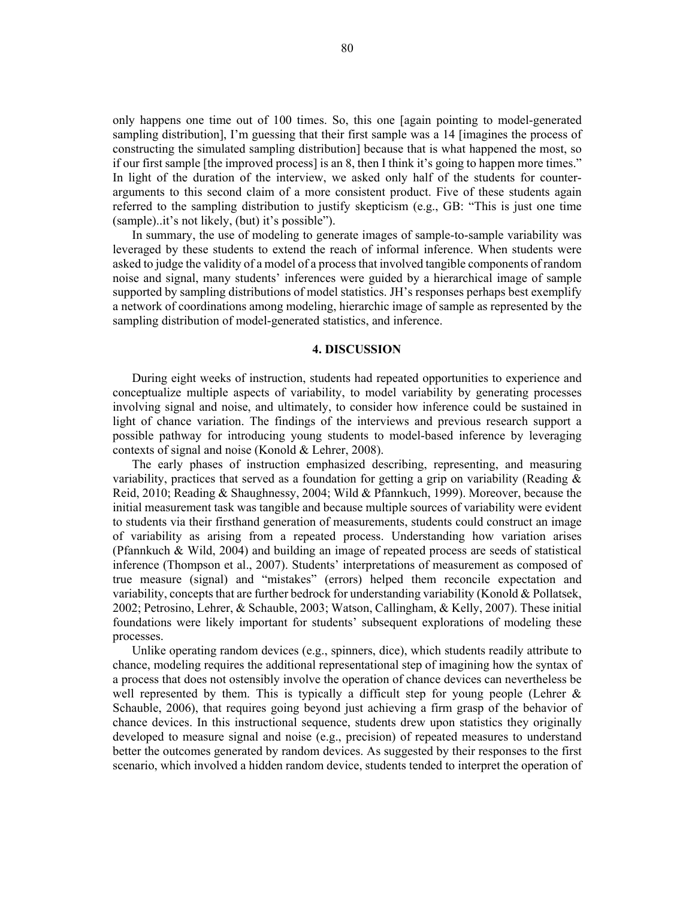only happens one time out of 100 times. So, this one [again pointing to model-generated sampling distribution], I'm guessing that their first sample was a 14 [imagines the process of constructing the simulated sampling distribution] because that is what happened the most, so if our first sample [the improved process] is an 8, then I think it's going to happen more times." In light of the duration of the interview, we asked only half of the students for counterarguments to this second claim of a more consistent product. Five of these students again referred to the sampling distribution to justify skepticism (e.g., GB: "This is just one time (sample)..it's not likely, (but) it's possible").

In summary, the use of modeling to generate images of sample-to-sample variability was leveraged by these students to extend the reach of informal inference. When students were asked to judge the validity of a model of a process that involved tangible components of random noise and signal, many students' inferences were guided by a hierarchical image of sample supported by sampling distributions of model statistics. JH's responses perhaps best exemplify a network of coordinations among modeling, hierarchic image of sample as represented by the sampling distribution of model-generated statistics, and inference.

#### **4. DISCUSSION**

During eight weeks of instruction, students had repeated opportunities to experience and conceptualize multiple aspects of variability, to model variability by generating processes involving signal and noise, and ultimately, to consider how inference could be sustained in light of chance variation. The findings of the interviews and previous research support a possible pathway for introducing young students to model-based inference by leveraging contexts of signal and noise (Konold & Lehrer, 2008).

The early phases of instruction emphasized describing, representing, and measuring variability, practices that served as a foundation for getting a grip on variability (Reading  $\&$ Reid, 2010; Reading & Shaughnessy, 2004; Wild & Pfannkuch, 1999). Moreover, because the initial measurement task was tangible and because multiple sources of variability were evident to students via their firsthand generation of measurements, students could construct an image of variability as arising from a repeated process. Understanding how variation arises (Pfannkuch & Wild, 2004) and building an image of repeated process are seeds of statistical inference (Thompson et al., 2007). Students' interpretations of measurement as composed of true measure (signal) and "mistakes" (errors) helped them reconcile expectation and variability, concepts that are further bedrock for understanding variability (Konold & Pollatsek, 2002; Petrosino, Lehrer, & Schauble, 2003; Watson, Callingham, & Kelly, 2007). These initial foundations were likely important for students' subsequent explorations of modeling these processes.

Unlike operating random devices (e.g., spinners, dice), which students readily attribute to chance, modeling requires the additional representational step of imagining how the syntax of a process that does not ostensibly involve the operation of chance devices can nevertheless be well represented by them. This is typically a difficult step for young people (Lehrer & Schauble, 2006), that requires going beyond just achieving a firm grasp of the behavior of chance devices. In this instructional sequence, students drew upon statistics they originally developed to measure signal and noise (e.g., precision) of repeated measures to understand better the outcomes generated by random devices. As suggested by their responses to the first scenario, which involved a hidden random device, students tended to interpret the operation of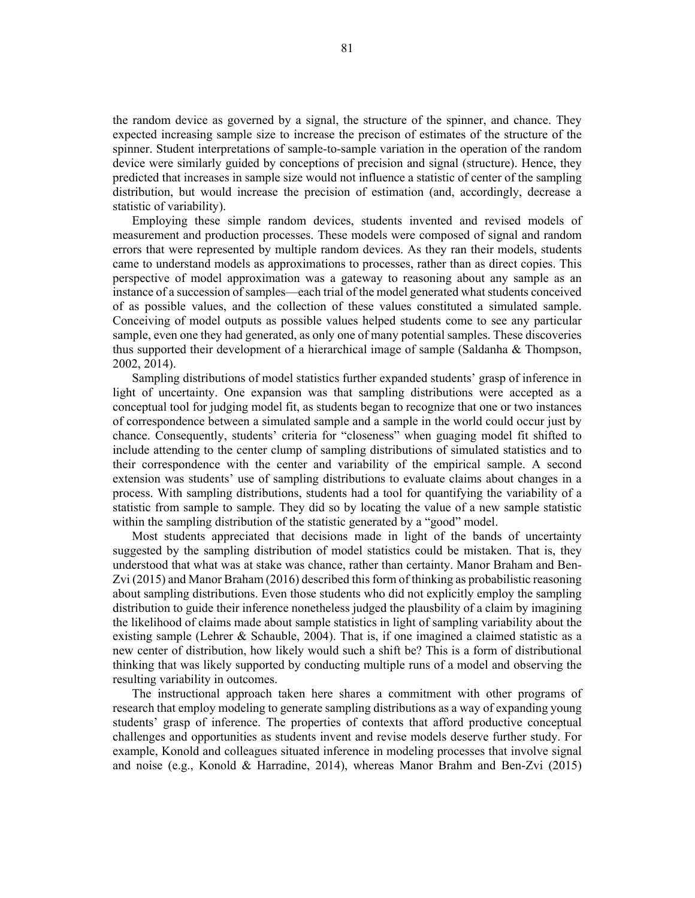the random device as governed by a signal, the structure of the spinner, and chance. They expected increasing sample size to increase the precison of estimates of the structure of the spinner. Student interpretations of sample-to-sample variation in the operation of the random device were similarly guided by conceptions of precision and signal (structure). Hence, they predicted that increases in sample size would not influence a statistic of center of the sampling distribution, but would increase the precision of estimation (and, accordingly, decrease a statistic of variability).

Employing these simple random devices, students invented and revised models of measurement and production processes. These models were composed of signal and random errors that were represented by multiple random devices. As they ran their models, students came to understand models as approximations to processes, rather than as direct copies. This perspective of model approximation was a gateway to reasoning about any sample as an instance of a succession of samples—each trial of the model generated what students conceived of as possible values, and the collection of these values constituted a simulated sample. Conceiving of model outputs as possible values helped students come to see any particular sample, even one they had generated, as only one of many potential samples. These discoveries thus supported their development of a hierarchical image of sample (Saldanha & Thompson, 2002, 2014).

Sampling distributions of model statistics further expanded students' grasp of inference in light of uncertainty. One expansion was that sampling distributions were accepted as a conceptual tool for judging model fit, as students began to recognize that one or two instances of correspondence between a simulated sample and a sample in the world could occur just by chance. Consequently, students' criteria for "closeness" when guaging model fit shifted to include attending to the center clump of sampling distributions of simulated statistics and to their correspondence with the center and variability of the empirical sample. A second extension was students' use of sampling distributions to evaluate claims about changes in a process. With sampling distributions, students had a tool for quantifying the variability of a statistic from sample to sample. They did so by locating the value of a new sample statistic within the sampling distribution of the statistic generated by a "good" model.

Most students appreciated that decisions made in light of the bands of uncertainty suggested by the sampling distribution of model statistics could be mistaken. That is, they understood that what was at stake was chance, rather than certainty. Manor Braham and Ben-Zvi (2015) and Manor Braham (2016) described this form of thinking as probabilistic reasoning about sampling distributions. Even those students who did not explicitly employ the sampling distribution to guide their inference nonetheless judged the plausbility of a claim by imagining the likelihood of claims made about sample statistics in light of sampling variability about the existing sample (Lehrer & Schauble, 2004). That is, if one imagined a claimed statistic as a new center of distribution, how likely would such a shift be? This is a form of distributional thinking that was likely supported by conducting multiple runs of a model and observing the resulting variability in outcomes.

The instructional approach taken here shares a commitment with other programs of research that employ modeling to generate sampling distributions as a way of expanding young students' grasp of inference. The properties of contexts that afford productive conceptual challenges and opportunities as students invent and revise models deserve further study. For example, Konold and colleagues situated inference in modeling processes that involve signal and noise (e.g., Konold & Harradine, 2014), whereas Manor Brahm and Ben-Zvi (2015)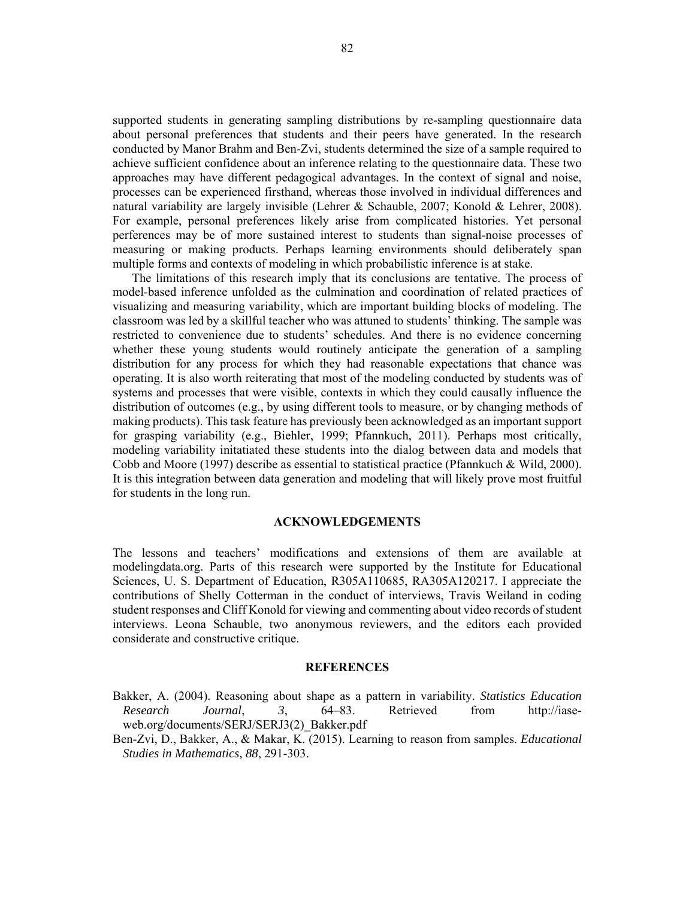supported students in generating sampling distributions by re-sampling questionnaire data about personal preferences that students and their peers have generated. In the research conducted by Manor Brahm and Ben-Zvi, students determined the size of a sample required to achieve sufficient confidence about an inference relating to the questionnaire data. These two approaches may have different pedagogical advantages. In the context of signal and noise, processes can be experienced firsthand, whereas those involved in individual differences and natural variability are largely invisible (Lehrer & Schauble, 2007; Konold & Lehrer, 2008). For example, personal preferences likely arise from complicated histories. Yet personal perferences may be of more sustained interest to students than signal-noise processes of measuring or making products. Perhaps learning environments should deliberately span multiple forms and contexts of modeling in which probabilistic inference is at stake.

The limitations of this research imply that its conclusions are tentative. The process of model-based inference unfolded as the culmination and coordination of related practices of visualizing and measuring variability, which are important building blocks of modeling. The classroom was led by a skillful teacher who was attuned to students' thinking. The sample was restricted to convenience due to students' schedules. And there is no evidence concerning whether these young students would routinely anticipate the generation of a sampling distribution for any process for which they had reasonable expectations that chance was operating. It is also worth reiterating that most of the modeling conducted by students was of systems and processes that were visible, contexts in which they could causally influence the distribution of outcomes (e.g., by using different tools to measure, or by changing methods of making products). This task feature has previously been acknowledged as an important support for grasping variability (e.g., Biehler, 1999; Pfannkuch, 2011). Perhaps most critically, modeling variability initatiated these students into the dialog between data and models that Cobb and Moore (1997) describe as essential to statistical practice (Pfannkuch & Wild, 2000). It is this integration between data generation and modeling that will likely prove most fruitful for students in the long run.

## **ACKNOWLEDGEMENTS**

The lessons and teachers' modifications and extensions of them are available at modelingdata.org. Parts of this research were supported by the Institute for Educational Sciences, U. S. Department of Education, R305A110685, RA305A120217. I appreciate the contributions of Shelly Cotterman in the conduct of interviews, Travis Weiland in coding student responses and Cliff Konold for viewing and commenting about video records of student interviews. Leona Schauble, two anonymous reviewers, and the editors each provided considerate and constructive critique.

#### **REFERENCES**

- Bakker, A. (2004). Reasoning about shape as a pattern in variability. *Statistics Education Research Journal*, *3*, 64–83. Retrieved from http://iaseweb.org/documents/SERJ/SERJ3(2) Bakker.pdf
- Ben-Zvi, D., Bakker, A., & Makar, K. (2015). Learning to reason from samples. *Educational Studies in Mathematics, 88*, 291-303.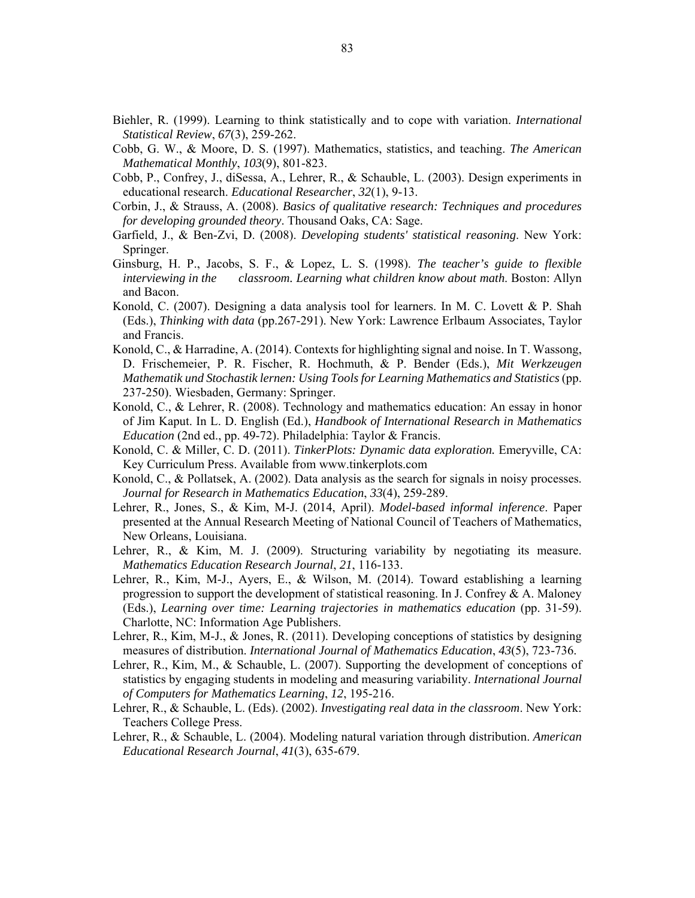- Biehler, R. (1999). Learning to think statistically and to cope with variation. *International Statistical Review*, *67*(3), 259-262.
- Cobb, G. W., & Moore, D. S. (1997). Mathematics, statistics, and teaching. *The American Mathematical Monthly*, *103*(9), 801-823.
- Cobb, P., Confrey, J., diSessa, A., Lehrer, R., & Schauble, L. (2003). Design experiments in educational research. *Educational Researcher*, *32*(1), 9-13.
- Corbin, J., & Strauss, A. (2008). *Basics of qualitative research: Techniques and procedures for developing grounded theory*. Thousand Oaks, CA: Sage.
- Garfield, J., & Ben-Zvi, D. (2008). *Developing students' statistical reasoning*. New York: Springer.
- Ginsburg, H. P., Jacobs, S. F., & Lopez, L. S. (1998). *The teacher's guide to flexible interviewing in the classroom. Learning what children know about math*. Boston: Allyn and Bacon.
- Konold, C. (2007). Designing a data analysis tool for learners. In M. C. Lovett & P. Shah (Eds.), *Thinking with data* (pp.267-291). New York: Lawrence Erlbaum Associates, Taylor and Francis.
- Konold, C., & Harradine, A. (2014). Contexts for highlighting signal and noise. In T. Wassong, D. Frischemeier, P. R. Fischer, R. Hochmuth, & P. Bender (Eds.), *Mit Werkzeugen Mathematik und Stochastik lernen: Using Tools for Learning Mathematics and Statistics* (pp. 237-250). Wiesbaden, Germany: Springer.
- Konold, C., & Lehrer, R. (2008). Technology and mathematics education: An essay in honor of Jim Kaput. In L. D. English (Ed.), *Handbook of International Research in Mathematics Education* (2nd ed., pp. 49-72). Philadelphia: Taylor & Francis.
- Konold, C. & Miller, C. D. (2011). *TinkerPlots: Dynamic data exploration.* Emeryville, CA: Key Curriculum Press. Available from www.tinkerplots.com
- Konold, C., & Pollatsek, A. (2002). Data analysis as the search for signals in noisy processes. *Journal for Research in Mathematics Education*, *33*(4), 259-289.
- Lehrer, R., Jones, S., & Kim, M-J. (2014, April). *Model-based informal inference*. Paper presented at the Annual Research Meeting of National Council of Teachers of Mathematics, New Orleans, Louisiana.
- Lehrer, R., & Kim, M. J. (2009). Structuring variability by negotiating its measure. *Mathematics Education Research Journal*, *21*, 116-133.
- Lehrer, R., Kim, M-J., Ayers, E., & Wilson, M. (2014). Toward establishing a learning progression to support the development of statistical reasoning. In J. Confrey & A. Maloney (Eds.), *Learning over time: Learning trajectories in mathematics education* (pp. 31-59). Charlotte, NC: Information Age Publishers.
- Lehrer, R., Kim, M-J., & Jones, R. (2011). Developing conceptions of statistics by designing measures of distribution. *International Journal of Mathematics Education*, *43*(5), 723-736.
- Lehrer, R., Kim, M., & Schauble, L. (2007). Supporting the development of conceptions of statistics by engaging students in modeling and measuring variability. *International Journal of Computers for Mathematics Learning*, *12*, 195-216.
- Lehrer, R., & Schauble, L. (Eds). (2002). *Investigating real data in the classroom*. New York: Teachers College Press.
- Lehrer, R., & Schauble, L. (2004). Modeling natural variation through distribution. *American Educational Research Journal*, *41*(3), 635-679.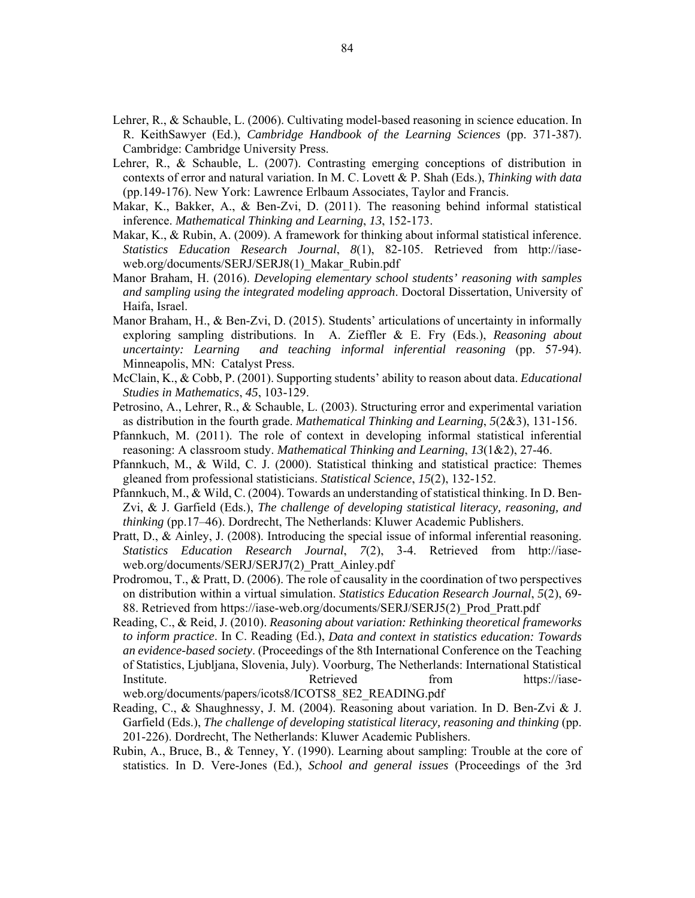- Lehrer, R., & Schauble, L. (2006). Cultivating model-based reasoning in science education. In R. KeithSawyer (Ed.), *Cambridge Handbook of the Learning Sciences* (pp. 371-387). Cambridge: Cambridge University Press.
- Lehrer, R., & Schauble, L. (2007). Contrasting emerging conceptions of distribution in contexts of error and natural variation. In M. C. Lovett & P. Shah (Eds.), *Thinking with data* (pp.149-176). New York: Lawrence Erlbaum Associates, Taylor and Francis.
- Makar, K., Bakker, A., & Ben-Zvi, D. (2011). The reasoning behind informal statistical inference. *Mathematical Thinking and Learning*, *13*, 152-173.
- Makar, K., & Rubin, A. (2009). A framework for thinking about informal statistical inference. *Statistics Education Research Journal*, *8*(1), 82-105. Retrieved from http://iaseweb.org/documents/SERJ/SERJ8(1)\_Makar\_Rubin.pdf
- Manor Braham, H. (2016). *Developing elementary school students' reasoning with samples and sampling using the integrated modeling approach*. Doctoral Dissertation, University of Haifa, Israel.
- Manor Braham, H., & Ben-Zvi, D. (2015). Students' articulations of uncertainty in informally exploring sampling distributions. In A. Zieffler & E. Fry (Eds.), *Reasoning about uncertainty: Learning and teaching informal inferential reasoning* (pp. 57-94). Minneapolis, MN: Catalyst Press.
- McClain, K., & Cobb, P. (2001). Supporting students' ability to reason about data. *Educational Studies in Mathematics*, *45*, 103-129.
- Petrosino, A., Lehrer, R., & Schauble, L. (2003). Structuring error and experimental variation as distribution in the fourth grade. *Mathematical Thinking and Learning*, *5*(2&3), 131-156.
- Pfannkuch, M. (2011). The role of context in developing informal statistical inferential reasoning: A classroom study. *Mathematical Thinking and Learning*, *13*(1&2), 27-46.
- Pfannkuch, M., & Wild, C. J. (2000). Statistical thinking and statistical practice: Themes gleaned from professional statisticians. *Statistical Science*, *15*(2), 132-152.
- Pfannkuch, M., & Wild, C. (2004). Towards an understanding of statistical thinking. In D. Ben-Zvi, & J. Garfield (Eds.), *The challenge of developing statistical literacy, reasoning, and thinking* (pp.17–46). Dordrecht, The Netherlands: Kluwer Academic Publishers.
- Pratt, D., & Ainley, J. (2008). Introducing the special issue of informal inferential reasoning. *Statistics Education Research Journal*, *7*(2), 3-4. Retrieved from http://iaseweb.org/documents/SERJ/SERJ7(2)\_Pratt\_Ainley.pdf
- Prodromou, T., & Pratt, D. (2006). The role of causality in the coordination of two perspectives on distribution within a virtual simulation. *Statistics Education Research Journal*, *5*(2), 69- 88. Retrieved from https://iase-web.org/documents/SERJ/SERJ5(2)\_Prod\_Pratt.pdf
- Reading, C., & Reid, J. (2010). *Reasoning about variation: Rethinking theoretical frameworks to inform practice*. In C. Reading (Ed.), *Data and context in statistics education: Towards an evidence-based society*. (Proceedings of the 8th International Conference on the Teaching of Statistics, Ljubljana, Slovenia, July). Voorburg, The Netherlands: International Statistical Institute. Retrieved from https://iaseweb.org/documents/papers/icots8/ICOTS8\_8E2\_READING.pdf
- Reading, C., & Shaughnessy, J. M. (2004). Reasoning about variation. In D. Ben-Zvi & J. Garfield (Eds.), *The challenge of developing statistical literacy, reasoning and thinking* (pp. 201-226). Dordrecht, The Netherlands: Kluwer Academic Publishers.
- Rubin, A., Bruce, B., & Tenney, Y. (1990). Learning about sampling: Trouble at the core of statistics. In D. Vere-Jones (Ed.), *School and general issues* (Proceedings of the 3rd